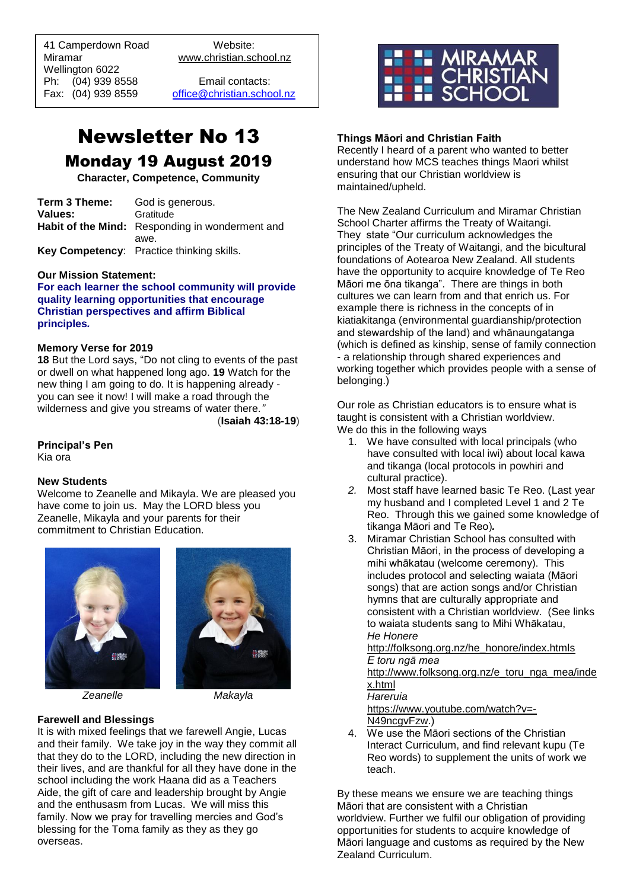41 Camperdown Road Website: Miramar www.christian.school.nz Wellington 6022 Ph: (04) 939 8558 Email contacts:

 $\overline{a}$ 

Fax: (04) 939 8559 [office@christian.school.nz](mailto:office@christian.school.nz)

# Newsletter No 13 Monday 19 August 2019

**Character, Competence, Community**

| Term 3 Theme: | God is generous.                                |
|---------------|-------------------------------------------------|
| Values:       | Gratitude                                       |
|               | Habit of the Mind: Responding in wonderment and |
|               | awe.                                            |
|               | Key Competency: Practice thinking skills.       |

#### **Our Mission Statement:**

**For each learner the school community will provide quality learning opportunities that encourage Christian perspectives and affirm Biblical principles***.*

#### **Memory Verse for 2019**

**18** But the Lord says, "Do not cling to events of the past or dwell on what happened long ago. **19** Watch for the new thing I am going to do. It is happening already you can see it now! I will make a road through the wilderness and give you streams of water there*."* (**Isaiah 43:18-19**)

**Principal's Pen**

Kia ora

### **New Students**

Welcome to Zeanelle and Mikayla. We are pleased you have come to join us. May the LORD bless you Zeanelle, Mikayla and your parents for their commitment to Christian Education.





*Zeanelle Makayla*

### **Farewell and Blessings**

It is with mixed feelings that we farewell Angie, Lucas and their family. We take joy in the way they commit all that they do to the LORD, including the new direction in their lives, and are thankful for all they have done in the school including the work Haana did as a Teachers Aide, the gift of care and leadership brought by Angie and the enthusasm from Lucas. We will miss this family. Now we pray for travelling mercies and God's blessing for the Toma family as they as they go overseas.



# **Things Māori and Christian Faith**

Recently I heard of a parent who wanted to better understand how MCS teaches things Maori whilst ensuring that our Christian worldview is maintained/upheld.

The New Zealand Curriculum and Miramar Christian School Charter affirms the Treaty of Waitangi. They state "Our curriculum acknowledges the principles of the Treaty of Waitangi, and the bicultural foundations of Aotearoa New Zealand. All students have the opportunity to acquire knowledge of Te Reo Māori me ōna tikanga". There are things in both cultures we can learn from and that enrich us. For example there is richness in the concepts of in kiatiakitanga (environmental guardianship/protection and stewardship of the land) and whānaungatanga (which is defined as kinship, sense of family connection - a relationship through shared experiences and working together which provides people with a sense of belonging.)

Our role as Christian educators is to ensure what is taught is consistent with a Christian worldview. We do this in the following ways

- 1. We have consulted with local principals (who have consulted with local iwi) about local kawa and tikanga (local protocols in powhiri and cultural practice).
- *2.* Most staff have learned basic Te Reo. (Last year my husband and I completed Level 1 and 2 Te Reo. Through this we gained some knowledge of tikanga Māori and Te Reo)*.*
- 3. Miramar Christian School has consulted with Christian Māori, in the process of developing a mihi whākatau (welcome ceremony). This includes protocol and selecting waiata (Māori songs) that are action songs and/or Christian hymns that are culturally appropriate and consistent with a Christian worldview. (See links to waiata students sang to Mihi Whākatau, *He Honere*

[http://folksong.org.nz/he\\_honore/index.htmls](http://folksong.org.nz/he_honore/index.html) *E toru ngā mea*

[http://www.folksong.org.nz/e\\_toru\\_nga\\_mea/inde](http://www.folksong.org.nz/e_toru_nga_mea/index.html) [x.html](http://www.folksong.org.nz/e_toru_nga_mea/index.html) *Hareruia*

[https://www.youtube.com/watch?v=-](https://www.youtube.com/watch?v=-N49ncgvFzw) [N49ncgvFzw.](https://www.youtube.com/watch?v=-N49ncgvFzw))

4. We use the Māori sections of the Christian Interact Curriculum, and find relevant kupu (Te Reo words) to supplement the units of work we teach.

By these means we ensure we are teaching things Māori that are consistent with a Christian worldview. Further we fulfil our obligation of providing opportunities for students to acquire knowledge of Māori language and customs as required by the New Zealand Curriculum.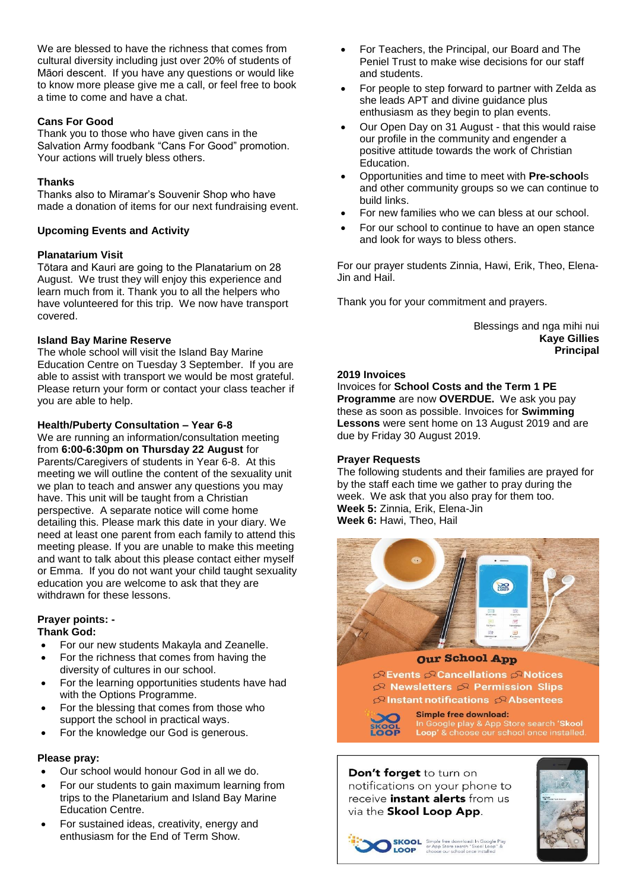We are blessed to have the richness that comes from cultural diversity including just over 20% of students of Māori descent. If you have any questions or would like to know more please give me a call, or feel free to book a time to come and have a chat.

# **Cans For Good**

Thank you to those who have given cans in the Salvation Army foodbank "Cans For Good" promotion. Your actions will truely bless others.

# **Thanks**

Thanks also to Miramar's Souvenir Shop who have made a donation of items for our next fundraising event.

# **Upcoming Events and Activity**

# **Planatarium Visit**

Tōtara and Kauri are going to the Planatarium on 28 August. We trust they will enjoy this experience and learn much from it. Thank you to all the helpers who have volunteered for this trip. We now have transport covered.

# **Island Bay Marine Reserve**

The whole school will visit the Island Bay Marine Education Centre on Tuesday 3 September. If you are able to assist with transport we would be most grateful. Please return your form or contact your class teacher if you are able to help.

# **Health/Puberty Consultation – Year 6-8**

We are running an information/consultation meeting from **6:00-6:30pm on Thursday 22 August** for Parents/Caregivers of students in Year 6-8. At this meeting we will outline the content of the sexuality unit we plan to teach and answer any questions you may have. This unit will be taught from a Christian perspective. A separate notice will come home detailing this. Please mark this date in your diary. We need at least one parent from each family to attend this meeting please. If you are unable to make this meeting and want to talk about this please contact either myself or Emma. If you do not want your child taught sexuality education you are welcome to ask that they are withdrawn for these lessons.

#### **Prayer points: - Thank God:**

- For our new students Makayla and Zeanelle.
- For the richness that comes from having the diversity of cultures in our school.
- For the learning opportunities students have had with the Options Programme.
- For the blessing that comes from those who support the school in practical ways.
- For the knowledge our God is generous.

### **Please pray:**

- Our school would honour God in all we do.
- For our students to gain maximum learning from trips to the Planetarium and Island Bay Marine Education Centre.
- For sustained ideas, creativity, energy and enthusiasm for the End of Term Show.
- For Teachers, the Principal, our Board and The Peniel Trust to make wise decisions for our staff and students.
- For people to step forward to partner with Zelda as she leads APT and divine guidance plus enthusiasm as they begin to plan events.
- Our Open Day on 31 August that this would raise our profile in the community and engender a positive attitude towards the work of Christian Education.
- Opportunities and time to meet with **Pre-school**s and other community groups so we can continue to build links.
- For new families who we can bless at our school.
- For our school to continue to have an open stance and look for ways to bless others.

For our prayer students Zinnia, Hawi, Erik, Theo, Elena-Jin and Hail.

Thank you for your commitment and prayers.

Blessings and nga mihi nui **Kaye Gillies Principal**

### **2019 Invoices**

Invoices for **School Costs and the Term 1 PE Programme** are now **OVERDUE.** We ask you pay these as soon as possible. Invoices for **Swimming Lessons** were sent home on 13 August 2019 and are due by Friday 30 August 2019.

### **Prayer Requests**

The following students and their families are prayed for by the staff each time we gather to pray during the week. We ask that you also pray for them too. **Week 5:** Zinnia, Erik, Elena-Jin **Week 6:** Hawi, Theo, Hail



### **Our School App**

GREvents Cancellations CRNotices  $\mathfrak{S}$  Newsletters  $\mathfrak{S}$  Permission Slips  $\mathcal{P}$  Instant notifications  $\mathcal{P}$  Absentees



**Simple free download:** In Google play & App Store search 'Skool<br>Loop' & choose our school once installed

#### Don't forget to turn on notifications on your phone to receive *instant alerts* from us via the Skool Loop App.



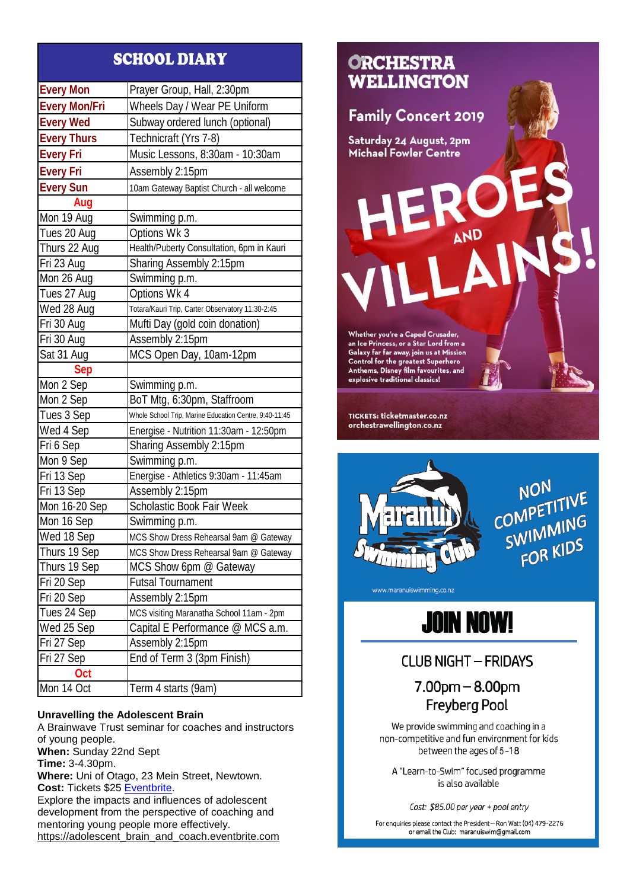# SCHOOL DIARY

| <b>Every Mon</b>     |                                                        |
|----------------------|--------------------------------------------------------|
|                      | Prayer Group, Hall, 2:30pm                             |
| <b>Every Mon/Fri</b> | Wheels Day / Wear PE Uniform                           |
| <b>Every Wed</b>     | Subway ordered lunch (optional)                        |
| <b>Every Thurs</b>   | Technicraft (Yrs 7-8)                                  |
| <b>Every Fri</b>     | Music Lessons, 8:30am - 10:30am                        |
| <b>Every Fri</b>     | Assembly 2:15pm                                        |
| <b>Every Sun</b>     | 10am Gateway Baptist Church - all welcome              |
| Aug                  |                                                        |
| Mon 19 Aug           | Swimming p.m.                                          |
| Tues 20 Aug          | Options Wk 3                                           |
| Thurs 22 Aug         | Health/Puberty Consultation, 6pm in Kauri              |
| Fri 23 Aug           | Sharing Assembly 2:15pm                                |
| Mon 26 Aug           | Swimming p.m.                                          |
| Tues 27 Aug          | Options Wk 4                                           |
| Wed 28 Aug           | Totara/Kauri Trip, Carter Observatory 11:30-2:45       |
| Fri 30 Aug           | Mufti Day (gold coin donation)                         |
| Fri 30 Aug           | Assembly 2:15pm                                        |
| Sat 31 Aug           | MCS Open Day, 10am-12pm                                |
| <b>Sep</b>           |                                                        |
| Mon 2 Sep            | Swimming p.m.                                          |
| Mon 2 Sep            | BoT Mtg, 6:30pm, Staffroom                             |
| Tues 3 Sep           | Whole School Trip, Marine Education Centre, 9:40-11:45 |
| Wed 4 Sep            | Energise - Nutrition 11:30am - 12:50pm                 |
| Fri 6 Sep            | Sharing Assembly 2:15pm                                |
| Mon 9 Sep            | Swimming p.m.                                          |
| Fri 13 Sep           | Energise - Athletics 9:30am - 11:45am                  |
| Fri 13 Sep           | Assembly 2:15pm                                        |
| Mon 16-20 Sep        | <b>Scholastic Book Fair Week</b>                       |
| Mon 16 Sep           | Swimming p.m.                                          |
| Wed 18 Sep           | MCS Show Dress Rehearsal 9am @ Gateway                 |
| Thurs 19 Sep         | MCS Show Dress Rehearsal 9am @ Gateway                 |
| Thurs 19 Sep         | MCS Show 6pm @ Gateway                                 |
| Fri 20 Sep           | <b>Futsal Tournament</b>                               |
| Fri 20 Sep           | Assembly 2:15pm                                        |
| Tues 24 Sep          | MCS visiting Maranatha School 11am - 2pm               |
| Wed 25 Sep           | Capital E Performance @ MCS a.m.                       |
| Fri 27 Sep           | Assembly 2:15pm                                        |
| Fri 27 Sep           | End of Term 3 (3pm Finish)                             |
| Oct                  |                                                        |
| Mon 14 Oct           | Term 4 starts (9am)                                    |

### **Unravelling the Adolescent Brain**

A Brainwave Trust seminar for coaches and instructors of young people. **When:** Sunday 22nd Sept **Time:** 3-4.30pm. **Where:** Uni of Otago, 23 Mein Street, Newtown. **Cost:** Tickets \$25 [Eventbrite.](https://adolescent_brain_and_coach.eventbrite.com/) Explore the impacts and influences of adolescent development from the perspective of coaching and mentoring young people more effectively. [https://adolescent\\_brain\\_and\\_coach.eventbrite.com](https://adolescent_brain_and_coach.eventbrite.com/)





**NON** NON<br>COMPETITIVE OMPELLING<br>SWIMMING FOR KIDS

www.maranuiswimming.co.nz



# **CLUB NIGHT - FRIDAYS**

 $7.00<sub>pm</sub> - 8.00<sub>pm</sub>$ **Freyberg Pool** 

We provide swimming and coaching in a non-competitive and fun environment for kids between the ages of 5-18

A "Learn-to-Swim" focused programme is also available

Cost: \$85.00 per year + pool entry

For enquiries please contact the President - Ron Watt (04) 479-2276 or email the Club: maranuiswim@gmail.com